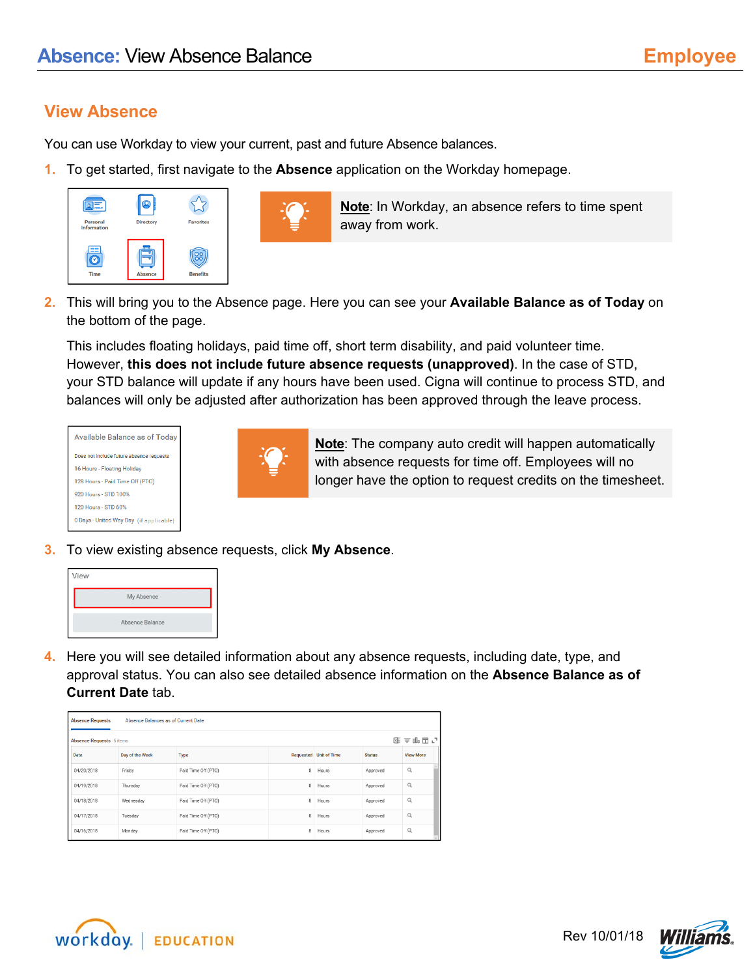## **View Absence**

You can use Workday to view your current, past and future Absence balances.

**1.** To get started, first navigate to the **Absence** application on the Workday homepage.





**Note**: In Workday, an absence refers to time spent away from work.

**2.** This will bring you to the Absence page. Here you can see your **Available Balance as of Today** on the bottom of the page.

This includes floating holidays, paid time off, short term disability, and paid volunteer time. However, **this does not include future absence requests (unapproved)**. In the case of STD, your STD balance will update if any hours have been used. Cigna will continue to process STD, and balances will only be adjusted after authorization has been approved through the leave process.

| Available Balance as of Today            |
|------------------------------------------|
| Does not include future absence requests |
| 16 Hours - Floating Holiday              |
| 128 Hours - Paid Time Off (PTO)          |
| 920 Hours - STD 100%                     |
| 120 Hours - STD 60%                      |
| 0 Days - United Way Day (if applicable)  |
|                                          |



**Note**: The company auto credit will happen automatically with absence requests for time off. Employees will no longer have the option to request credits on the timesheet.

**3.** To view existing absence requests, click **My Absence**.



**4.** Here you will see detailed information about any absence requests, including date, type, and approval status. You can also see detailed absence information on the **Absence Balance as of Current Date** tab.

|      | Absence Balances as of Current Date<br><b>Absence Requests</b>               |                 |                     |   |                        |               |                  |  |  |  |  |  |  |  |
|------|------------------------------------------------------------------------------|-----------------|---------------------|---|------------------------|---------------|------------------|--|--|--|--|--|--|--|
|      | $\equiv$ ille $\square$ $\lrcorner$<br>×≣<br><b>Absence Requests</b> 5 items |                 |                     |   |                        |               |                  |  |  |  |  |  |  |  |
| Date |                                                                              | Day of the Week | Type                |   | Requested Unit of Time | <b>Status</b> | <b>View More</b> |  |  |  |  |  |  |  |
|      | 04/20/2018                                                                   | Friday          | Paid Time Off (PTO) | 8 | Hours                  | Approved      | Q                |  |  |  |  |  |  |  |
|      | 04/19/2018                                                                   | Thursday        | Paid Time Off (PTO) | 8 | Hours                  | Approved      | $\alpha$         |  |  |  |  |  |  |  |
|      | 04/18/2018                                                                   | Wednesday       | Paid Time Off (PTO) | 8 | Hours                  | Approved      | Q                |  |  |  |  |  |  |  |
|      | 04/17/2018                                                                   | Tuesday         | Paid Time Off (PTO) | 8 | Hours                  | Approved      | Q                |  |  |  |  |  |  |  |
|      | 04/16/2018                                                                   | Monday          | Paid Time Off (PTO) | 8 | Hours                  | Approved      | Q                |  |  |  |  |  |  |  |